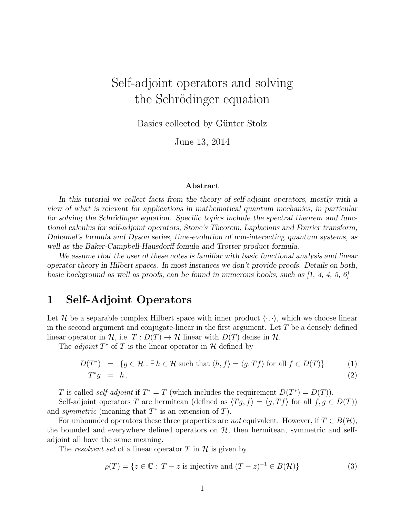# Self-adjoint operators and solving the Schrödinger equation

Basics collected by Günter Stolz

June 13, 2014

#### Abstract

In this tutorial we collect facts from the theory of self-adjoint operators, mostly with a view of what is relevant for applications in mathematical quantum mechanics, in particular for solving the Schrödinger equation. Specific topics include the spectral theorem and functional calculus for self-adjoint operators, Stone's Theorem, Laplacians and Fourier transform, Duhamel's formula and Dyson series, time-evolution of non-interacting quantum systems, as well as the Baker-Campbell-Hausdorff fomula and Trotter product formula.

We assume that the user of these notes is familiar with basic functional analysis and linear operator theory in Hilbert spaces. In most instances we don't provide proofs. Details on both, basic background as well as proofs, can be found in numerous books, such as  $[1, 3, 4, 5, 6]$ .

## 1 Self-Adjoint Operators

Let H be a separable complex Hilbert space with inner product  $\langle \cdot, \cdot \rangle$ , which we choose linear in the second argument and conjugate-linear in the first argument. Let  $T$  be a densely defined linear operator in H, i.e.  $T: D(T) \to H$  linear with  $D(T)$  dense in H.

The *adjoint*  $T^*$  of  $T$  is the linear operator in  $H$  defined by

$$
D(T^*) = \{ g \in \mathcal{H} : \exists h \in \mathcal{H} \text{ such that } \langle h, f \rangle = \langle g, Tf \rangle \text{ for all } f \in D(T) \}
$$
(1)  

$$
T^*g = h.
$$
(2)

T is called *self-adjoint* if  $T^* = T$  (which includes the requirement  $D(T^*) = D(T)$ ).

Self-adjoint operators T are hermitean (defined as  $\langle Tg, f \rangle = \langle g, Tf \rangle$  for all  $f, g \in D(T)$ ) and *symmetric* (meaning that  $T^*$  is an extension of  $T$ ).

For unbounded operators these three properties are *not* equivalent. However, if  $T \in B(H)$ , the bounded and everywhere defined operators on  $H$ , then hermitean, symmetric and selfadjoint all have the same meaning.

The resolvent set of a linear operator  $T$  in  $H$  is given by

$$
\rho(T) = \{ z \in \mathbb{C} : T - z \text{ is injective and } (T - z)^{-1} \in B(\mathcal{H}) \}
$$
\n(3)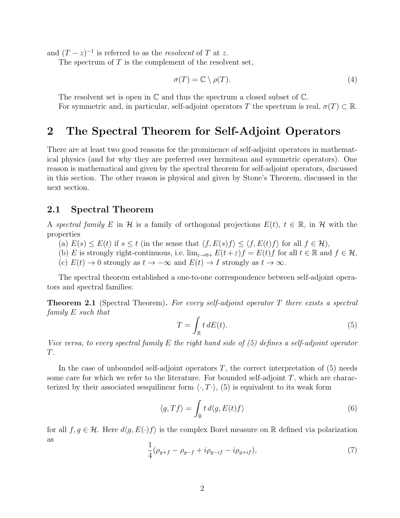and  $(T-z)^{-1}$  is referred to as the *resolvent* of T at z.

The spectrum of  $T$  is the complement of the resolvent set,

$$
\sigma(T) = \mathbb{C} \setminus \rho(T). \tag{4}
$$

The resolvent set is open in  $\mathbb C$  and thus the spectrum a closed subset of  $\mathbb C$ .

For symmetric and, in particular, self-adjoint operators T the spectrum is real,  $\sigma(T) \subset \mathbb{R}$ .

## 2 The Spectral Theorem for Self-Adjoint Operators

There are at least two good reasons for the prominence of self-adjoint operators in mathematical physics (and for why they are preferred over hermitean and symmetric operators). One reason is mathematical and given by the spectral theorem for self-adjoint operators, discussed in this section. The other reason is physical and given by Stone's Theorem, discussed in the next section.

### 2.1 Spectral Theorem

A spectral family E in H is a family of orthogonal projections  $E(t)$ ,  $t \in \mathbb{R}$ , in H with the properties

- (a)  $E(s) \leq E(t)$  if  $s \leq t$  (in the sense that  $\langle f, E(s)f \rangle \leq \langle f, E(t)f \rangle$  for all  $f \in \mathcal{H}$ ),
- (b) E is strongly right-continuous, i.e.  $\lim_{\varepsilon \to 0+} E(t+\varepsilon)f = E(t)f$  for all  $t \in \mathbb{R}$  and  $f \in \mathcal{H}$ ,
- (c)  $E(t) \to 0$  strongly as  $t \to -\infty$  and  $E(t) \to I$  strongly as  $t \to \infty$ .

The spectral theorem established a one-to-one correspondence between self-adjoint operators and spectral families:

**Theorem 2.1** (Spectral Theorem). For every self-adjoint operator  $T$  there exists a spectral family E such that

$$
T = \int_{\mathbb{R}} t \, dE(t). \tag{5}
$$

Vice versa, to every spectral family  $E$  the right hand side of  $(5)$  defines a self-adjoint operator T.

In the case of unbounded self-adjoint operators  $T$ , the correct interpretation of  $(5)$  needs some care for which we refer to the literature. For bounded self-adjoint  $T$ , which are characterized by their associated sesquilinear form  $\langle \cdot, T \cdot \rangle$ , (5) is equivalent to its weak form

$$
\langle g, Tf \rangle = \int_{\mathbb{R}} t \, d\langle g, E(t)f \rangle \tag{6}
$$

for all  $f, g \in \mathcal{H}$ . Here  $d\langle g, E(\cdot)f \rangle$  is the complex Borel measure on R defined via polarization as

$$
\frac{1}{4}(\rho_{g+f} - \rho_{g-f} + i\rho_{g-if} - i\rho_{g+if}),\tag{7}
$$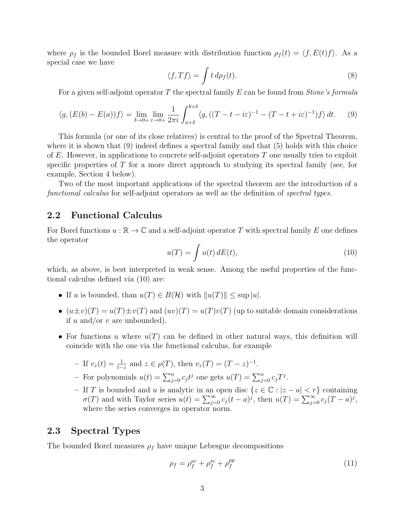where  $\rho_f$  is the bounded Borel measure with distribution function  $\rho_f(t) = \langle f, E(t)f \rangle$ . As a special case we have

$$
\langle f, Tf \rangle = \int t \, d\rho_f(t). \tag{8}
$$

For a given self-adjoint operator T the spectral family E can be found from *Stone's formula* 

$$
\langle g, (E(b) - E(a))f \rangle = \lim_{\delta \to 0+} \lim_{\varepsilon \to 0+} \frac{1}{2\pi i} \int_{a+\delta}^{b+\delta} \langle g, ((T - t - i\varepsilon)^{-1} - (T - t + i\varepsilon)^{-1})f \rangle dt. \tag{9}
$$

This formula (or one of its close relatives) is central to the proof of the Spectral Theorem, where it is shown that  $(9)$  indeed defines a spectral family and that  $(5)$  holds with this choice of  $E$ . However, in applications to concrete self-adjoint operators  $T$  one usually tries to exploit specific properties of  $T$  for a more direct approach to studying its spectral family (see, for example, Section 4 below).

Two of the most important applications of the spectral theorem are the introduction of a functional calculus for self-adjoint operators as well as the definition of spectral types.

### 2.2 Functional Calculus

For Borel functions  $u : \mathbb{R} \to \mathbb{C}$  and a self-adjoint operator T with spectral family E one defines the operator

$$
u(T) = \int u(t) dE(t), \qquad (10)
$$

which, as above, is best interpreted in weak sense. Among the useful properties of the functional calculus defined via (10) are:

- If u is bounded, than  $u(T) \in B(H)$  with  $||u(T)|| \leq \sup |u|$ .
- $(u \pm v)(T) = u(T) \pm v(T)$  and  $(uv)(T) = u(T)v(T)$  (up to suitable domain considerations if  $u$  and/or  $v$  are unbounded).
- For functions u where  $u(T)$  can be defined in other natural ways, this definition will coincide with the one via the functional calculus, for example
	- − If  $v_z(t) = \frac{1}{t-z}$  and  $z \in \rho(T)$ , then  $v_z(T) = (T z)^{-1}$ .
	- For polynomials  $u(t) = \sum_{j=0}^{n} c_j t^j$  one gets  $u(T) = \sum_{j=0}^{n} c_j T^j$ .
	- If T is bounded and u is analytic in an open disc  $\{z \in \mathbb{C} : |z a| < r\}$  containing  $\sigma(T)$  and with Taylor series  $u(t) = \sum_{j=0}^{\infty} c_j (t-a)^j$ , then  $u(T) = \sum_{j=0}^{\infty} c_j (T-a)^j$ , where the series converges in operator norm.

### 2.3 Spectral Types

The bounded Borel measures  $\rho_f$  have unique Lebesgue decompositions

$$
\rho_f = \rho_f^{ac} + \rho_f^{sc} + \rho_f^{pp} \tag{11}
$$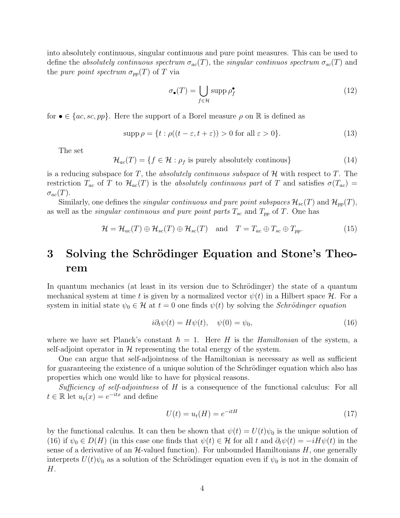into absolutely continuous, singular continuous and pure point measures. This can be used to define the absolutely continuous spectrum  $\sigma_{ac}(T)$ , the singular continuos spectrum  $\sigma_{sc}(T)$  and the *pure point spectrum*  $\sigma_{pp}(T)$  of T via

$$
\sigma_{\bullet}(T) = \bigcup_{f \in \mathcal{H}} \operatorname{supp} \rho_f^{\bullet} \tag{12}
$$

for  $\bullet \in \{ac, sc, pp\}$ . Here the support of a Borel measure  $\rho$  on R is defined as

$$
\operatorname{supp} \rho = \{ t : \rho((t - \varepsilon, t + \varepsilon)) > 0 \text{ for all } \varepsilon > 0 \}. \tag{13}
$$

The set

 $\mathcal{H}_{ac}(T) = \{f \in \mathcal{H} : \rho_f \text{ is purely absolutely continuous}\}\$  (14)

is a reducing subspace for T, the *absolutely continuous subspace* of  $H$  with respect to T. The restriction  $T_{ac}$  of T to  $\mathcal{H}_{ac}(T)$  is the absolutely continuous part of T and satisfies  $\sigma(T_{ac})$  =  $\sigma_{ac}(T)$ .

Similarly, one defines the *singular continuous and pure point subspaces*  $\mathcal{H}_{sc}(T)$  and  $\mathcal{H}_{pp}(T)$ , as well as the *singular continuous and pure point parts*  $T_{sc}$  and  $T_{pp}$  of T. One has

$$
\mathcal{H} = \mathcal{H}_{ac}(T) \oplus \mathcal{H}_{sc}(T) \oplus \mathcal{H}_{sc}(T) \quad \text{and} \quad T = T_{ac} \oplus T_{sc} \oplus T_{pp}.
$$
 (15)

# 3 Solving the Schrödinger Equation and Stone's Theorem

In quantum mechanics (at least in its version due to Schrödinger) the state of a quantum mechanical system at time t is given by a normalized vector  $\psi(t)$  in a Hilbert space  $\mathcal{H}$ . For a system in initial state  $\psi_0 \in \mathcal{H}$  at  $t = 0$  one finds  $\psi(t)$  by solving the *Schrödinger equation* 

$$
i\partial_t \psi(t) = H\psi(t), \quad \psi(0) = \psi_0,\tag{16}
$$

where we have set Planck's constant  $\hbar = 1$ . Here H is the Hamiltonian of the system, a self-adjoint operator in  $\mathcal H$  representing the total energy of the system.

One can argue that self-adjointness of the Hamiltonian is necessary as well as sufficient for guaranteeing the existence of a unique solution of the Schrödinger equation which also has properties which one would like to have for physical reasons.

Sufficiency of self-adjointness of  $H$  is a consequence of the functional calculus: For all  $t \in \mathbb{R}$  let  $u_t(x) = e^{-itx}$  and define

$$
U(t) = u_t(H) = e^{-itH}
$$
\n
$$
(17)
$$

by the functional calculus. It can then be shown that  $\psi(t) = U(t)\psi_0$  is the unique solution of (16) if  $\psi_0 \in D(H)$  (in this case one finds that  $\psi(t) \in \mathcal{H}$  for all t and  $\partial_t \psi(t) = -iH\psi(t)$  in the sense of a derivative of an  $H$ -valued function). For unbounded Hamiltonians  $H$ , one generally interprets  $U(t)\psi_0$  as a solution of the Schrödinger equation even if  $\psi_0$  is not in the domain of H.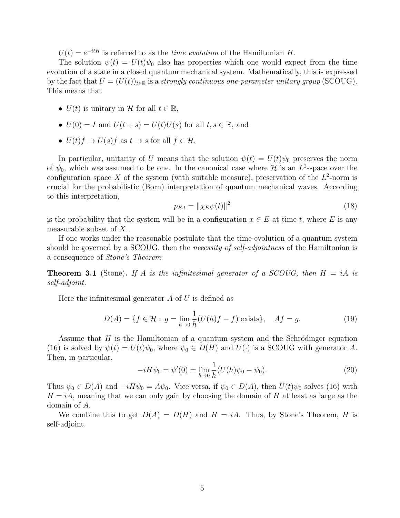$U(t) = e^{-itH}$  is referred to as the *time evolution* of the Hamiltonian H.

The solution  $\psi(t) = U(t)\psi_0$  also has properties which one would expect from the time evolution of a state in a closed quantum mechanical system. Mathematically, this is expressed by the fact that  $U = (U(t))_{t \in \mathbb{R}}$  is a strongly continuous one-parameter unitary group (SCOUG). This means that

- $U(t)$  is unitary in H for all  $t \in \mathbb{R}$ ,
- $U(0) = I$  and  $U(t + s) = U(t)U(s)$  for all  $t, s \in \mathbb{R}$ , and
- $U(t) f \rightarrow U(s) f$  as  $t \rightarrow s$  for all  $f \in \mathcal{H}$ .

In particular, unitarity of U means that the solution  $\psi(t) = U(t)\psi_0$  preserves the norm of  $\psi_0$ , which was assumed to be one. In the canonical case where  $\mathcal H$  is an  $L^2$ -space over the configuration space X of the system (with suitable measure), preservation of the  $L^2$ -norm is crucial for the probabilistic (Born) interpretation of quantum mechanical waves. According to this interpretation,

$$
p_{E,t} = \|\chi_E \psi(t)\|^2 \tag{18}
$$

is the probability that the system will be in a configuration  $x \in E$  at time t, where E is any measurable subset of X.

If one works under the reasonable postulate that the time-evolution of a quantum system should be governed by a SCOUG, then the *necessity of self-adjointness* of the Hamiltonian is a consequence of Stone's Theorem:

**Theorem 3.1** (Stone). If A is the infinitesimal generator of a SCOUG, then  $H = iA$  is self-adjoint.

Here the infinitesimal generator  $A$  of  $U$  is defined as

$$
D(A) = \{ f \in \mathcal{H} : g = \lim_{h \to 0} \frac{1}{h} (U(h)f - f) \text{ exists} \}, \quad Af = g.
$$
 (19)

Assume that  $H$  is the Hamiltonian of a quantum system and the Schrödinger equation (16) is solved by  $\psi(t) = U(t)\psi_0$ , where  $\psi_0 \in D(H)$  and  $U(\cdot)$  is a SCOUG with generator A. Then, in particular,

$$
-iH\psi_0 = \psi'(0) = \lim_{h \to 0} \frac{1}{h}(U(h)\psi_0 - \psi_0).
$$
 (20)

Thus  $\psi_0 \in D(A)$  and  $-iH\psi_0 = A\psi_0$ . Vice versa, if  $\psi_0 \in D(A)$ , then  $U(t)\psi_0$  solves (16) with  $H = iA$ , meaning that we can only gain by choosing the domain of H at least as large as the domain of A.

We combine this to get  $D(A) = D(H)$  and  $H = iA$ . Thus, by Stone's Theorem, H is self-adjoint.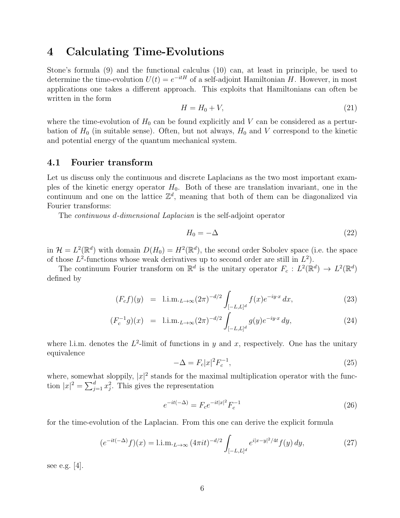## 4 Calculating Time-Evolutions

Stone's formula (9) and the functional calculus (10) can, at least in principle, be used to determine the time-evolution  $U(t) = e^{-itH}$  of a self-adjoint Hamiltonian H. However, in most applications one takes a different approach. This exploits that Hamiltonians can often be written in the form

$$
H = H_0 + V,\t\t(21)
$$

where the time-evolution of  $H_0$  can be found explicitly and V can be considered as a perturbation of  $H_0$  (in suitable sense). Often, but not always,  $H_0$  and V correspond to the kinetic and potential energy of the quantum mechanical system.

### 4.1 Fourier transform

Let us discuss only the continuous and discrete Laplacians as the two most important examples of the kinetic energy operator  $H_0$ . Both of these are translation invariant, one in the continuum and one on the lattice  $\mathbb{Z}^d$ , meaning that both of them can be diagonalized via Fourier transforms:

The *continuous d-dimensional Laplacian* is the self-adjoint operator

$$
H_0 = -\Delta \tag{22}
$$

in  $\mathcal{H} = L^2(\mathbb{R}^d)$  with domain  $D(H_0) = H^2(\mathbb{R}^d)$ , the second order Sobolev space (i.e. the space of those  $L^2$ -functions whose weak derivatives up to second order are still in  $L^2$ ).

The continuum Fourier transform on  $\mathbb{R}^d$  is the unitary operator  $F_c: L^2(\mathbb{R}^d) \to L^2(\mathbb{R}^d)$ defined by

$$
(F_c f)(y) = \text{l.i.m.}_{L \to \infty} (2\pi)^{-d/2} \int_{[-L,L]^d} f(x) e^{-iy \cdot x} dx, \tag{23}
$$

$$
(F_c^{-1}g)(x) = \text{l.i.m.}_{L \to \infty} (2\pi)^{-d/2} \int_{[-L,L]^d} g(y) e^{-iy \cdot x} dy,
$$
 (24)

where l.i.m. denotes the  $L^2$ -limit of functions in y and x, respectively. One has the unitary equivalence

$$
-\Delta = F_c |x|^2 F_c^{-1},\tag{25}
$$

where, somewhat sloppily,  $|x|^2$  stands for the maximal multiplication operator with the function  $|x|^2 = \sum_{j=1}^d x_j^2$ . This gives the representation

$$
e^{-it(-\Delta)} = F_c e^{-it|x|^2} F_c^{-1}
$$
\n(26)

for the time-evolution of the Laplacian. From this one can derive the explicit formula

$$
(e^{-it(-\Delta)}f)(x) = 1 \text{.i.m.}_{L \to \infty} (4\pi it)^{-d/2} \int_{[-L,L]^d} e^{i|x-y|^2/4t} f(y) \, dy,\tag{27}
$$

see e.g. [4].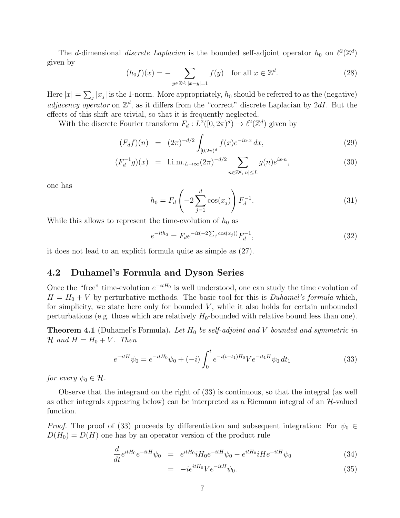The d-dimensional discrete Laplacian is the bounded self-adjoint operator  $h_0$  on  $\ell^2(\mathbb{Z}^d)$ given by

$$
(h_0 f)(x) = -\sum_{y \in \mathbb{Z}^d : |x - y| = 1} f(y) \quad \text{for all } x \in \mathbb{Z}^d.
$$
 (28)

Here  $|x| = \sum_j |x_j|$  is the 1-norm. More appropriately,  $h_0$  should be referred to as the (negative) adjacency operator on  $\mathbb{Z}^d$ , as it differs from the "correct" discrete Laplacian by 2dI. But the effects of this shift are trivial, so that it is frequently neglected.

With the discrete Fourier transform  $F_d : L^2([0, 2\pi)^d) \to \ell^2(\mathbb{Z}^d)$  given by

$$
(F_d f)(n) = (2\pi)^{-d/2} \int_{[0,2\pi)^d} f(x) e^{-in \cdot x} dx,
$$
\n(29)

$$
(F_d^{-1}g)(x) = 1 \text{.i.m.} \, L \to \infty \, (2\pi)^{-d/2} \sum_{n \in \mathbb{Z}^d, |n| \le L} g(n) e^{ix \cdot n}, \tag{30}
$$

one has

$$
h_0 = F_d \left( -2 \sum_{j=1}^d \cos(x_j) \right) F_d^{-1}.
$$
 (31)

While this allows to represent the time-evolution of  $h_0$  as

$$
e^{-ith_0} = F_d e^{-it(-2\sum_j \cos(x_j))} F_d^{-1},\tag{32}
$$

it does not lead to an explicit formula quite as simple as (27).

### 4.2 Duhamel's Formula and Dyson Series

Once the "free" time-evolution  $e^{-itH_0}$  is well understood, one can study the time evolution of  $H = H_0 + V$  by perturbative methods. The basic tool for this is *Duhamel's formula* which, for simplicity, we state here only for bounded  $V$ , while it also holds for certain unbounded perturbations (e.g. those which are relatively  $H_0$ -bounded with relative bound less than one).

**Theorem 4.1** (Duhamel's Formula). Let  $H_0$  be self-adjoint and V bounded and symmetric in  $\mathcal H$  and  $H = H_0 + V$ . Then

$$
e^{-itH}\psi_0 = e^{-itH_0}\psi_0 + (-i)\int_0^t e^{-i(t-t_1)H_0}Ve^{-it_1H}\psi_0 dt_1
$$
\n(33)

for every  $\psi_0 \in \mathcal{H}$ .

Observe that the integrand on the right of (33) is continuous, so that the integral (as well as other integrals appearing below) can be interpreted as a Riemann integral of an  $\mathcal{H}$ -valued function.

*Proof.* The proof of (33) proceeds by differentiation and subsequent integration: For  $\psi_0 \in$  $D(H_0) = D(H)$  one has by an operator version of the product rule

$$
\frac{d}{dt}e^{itH_0}e^{-itH}\psi_0 = e^{itH_0}iH_0e^{-itH}\psi_0 - e^{itH_0}iHe^{-itH}\psi_0 \tag{34}
$$

$$
= -ie^{itH_0}Ve^{-itH}\psi_0.
$$
\n
$$
(35)
$$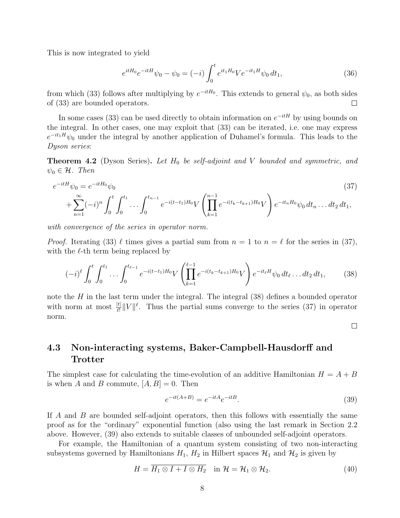This is now integrated to yield

$$
e^{itH_0}e^{-itH}\psi_0 - \psi_0 = (-i)\int_0^t e^{it_1H_0}Ve^{-it_1H}\psi_0 dt_1,
$$
\n(36)

from which (33) follows after multiplying by  $e^{-itH_0}$ . This extends to general  $\psi_0$ , as both sides of (33) are bounded operators.  $\Box$ 

In some cases (33) can be used directly to obtain information on  $e^{-itH}$  by using bounds on the integral. In other cases, one may exploit that (33) can be iterated, i.e. one may express  $e^{-it_1H}\psi_0$  under the integral by another application of Duhamel's formula. This leads to the Dyson series:

**Theorem 4.2** (Dyson Series). Let  $H_0$  be self-adjoint and V bounded and symmetric, and  $\psi_0 \in \mathcal{H}$ . Then

$$
e^{-itH}\psi_0 = e^{-itH_0}\psi_0
$$
\n
$$
+ \sum_{n=1}^{\infty} (-i)^n \int_0^t \int_0^{t_1} \dots \int_0^{t_{n-1}} e^{-i(t-t_1)H_0} V\left(\prod_{k=1}^{n-1} e^{-i(t_k - t_{k+1})H_0} V\right) e^{-it_n H_0} \psi_0 dt_n \dots dt_2 dt_1,
$$
\n(37)

with convergence of the series in operator norm.

*Proof.* Iterating (33)  $\ell$  times gives a partial sum from  $n = 1$  to  $n = \ell$  for the series in (37), with the  $\ell$ -th term being replaced by

$$
(-i)^{\ell} \int_0^t \int_0^{t_1} \dots \int_0^{t_{\ell-1}} e^{-i(t-t_1)H_0} V\left(\prod_{k=1}^{\ell-1} e^{-i(t_k-t_{k+1})H_0} V\right) e^{-it_{\ell}H} \psi_0 dt_{\ell} \dots dt_2 dt_1, \tag{38}
$$

note the  $H$  in the last term under the integral. The integral  $(38)$  defines a bounded operator with norm at most  $\frac{|t|}{\ell!} ||V||^{\ell}$ . Thus the partial sums converge to the series (37) in operator norm.

 $\Box$ 

### 4.3 Non-interacting systems, Baker-Campbell-Hausdorff and **Trotter**

The simplest case for calculating the time-evolution of an additive Hamiltonian  $H = A + B$ is when A and B commute,  $[A, B] = 0$ . Then

$$
e^{-it(A+B)} = e^{-itA}e^{-itB}.\tag{39}
$$

If A and B are bounded self-adjoint operators, then this follows with essentially the same proof as for the "ordinary" exponential function (also using the last remark in Section 2.2 above. However, (39) also extends to suitable classes of unbounded self-adjoint operators.

For example, the Hamiltonian of a quantum system consisting of two non-interacting subsystems governed by Hamiltonians  $H_1$ ,  $H_2$  in Hilbert spaces  $\mathcal{H}_1$  and  $\mathcal{H}_2$  is given by

$$
H = \overline{H_1 \otimes I + I \otimes H_2} \quad \text{in } \mathcal{H} = \mathcal{H}_1 \otimes \mathcal{H}_2. \tag{40}
$$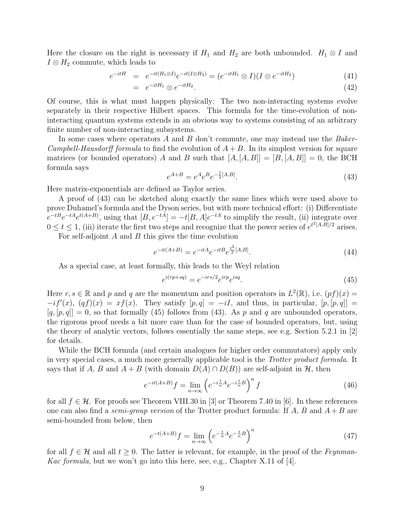Here the closure on the right is necessary if  $H_1$  and  $H_2$  are both unbounded.  $H_1 \otimes I$  and  $I \otimes H_2$  commute, which leads to

$$
e^{-itH} = e^{-it(H_1 \otimes I)}e^{-it(I \otimes H_2)} = (e^{-itH_1} \otimes I)(I \otimes e^{-itH_2})
$$
\n(41)

$$
= e^{-itH_1} \otimes e^{-itH_2}.\tag{42}
$$

Of course, this is what must happen physically: The two non-interacting systems evolve separately in their respective Hilbert spaces. This formula for the time-evolution of noninteracting quantum systems extends in an obvious way to systems consisting of an arbitrary finite number of non-interacting subsystems.

In some cases where operators A and B don't commute, one may instead use the Baker-*Campbell-Hausdorff formula* to find the evolution of  $A + B$ . In its simplest version for square matrices (or bounded operators) A and B such that  $[A, [A, B]] = [B, [A, B]] = 0$ , the BCH formula says

$$
e^{A+B} = e^A e^B e^{-\frac{1}{2}[A,B]}.
$$
\n(43)

Here matrix-exponentials are defined as Taylor series.

A proof of (43) can be sketched along exactly the same lines which were used above to prove Duhamel's formula and the Dyson series, but with more technical effort: (i) Differentiate  $e^{-tB}e^{-tA}e^{t(A+B)}$ , using that  $[B, e^{-tA}] = -t[B, A]e^{-tA}$  to simplify the result, (ii) integrate over  $0 \le t \le 1$ , (iii) iterate the first two steps and recognize that the power series of  $e^{t^2[A,B]/2}$  arises. For self-adjoint  $A$  and  $B$  this gives the time evolution

$$
e^{-it(A+B)} = e^{-itA}e^{-itBe}e^{\frac{t^2}{2}[A,B]}.
$$
\n(44)

As a special case, at least formally, this leads to the Weyl relation

$$
e^{i(rp+sq)} = e^{-irs/2}e^{irp}e^{isq}.\tag{45}
$$

Here  $r, s \in \mathbb{R}$  and p and q are the momentum and position operators in  $L^2(\mathbb{R})$ , i.e.  $(pf)(x) =$  $-i f'(x)$ ,  $(qf)(x) = xf(x)$ . They satisfy  $[p, q] = -iI$ , and thus, in particular,  $[p, [p, q]] =$  $[q, [p, q]] = 0$ , so that formally (45) follows from (43). As p and q are unbounded operators, the rigorous proof needs a bit more care than for the case of bounded operators, but, using the theory of analytic vectors, follows essentially the same steps, see e.g. Section 5.2.1 in [2] for details.

While the BCH formula (and certain analogues for higher order commutators) apply only in very special cases, a much more generally applicable tool is the Trotter product formula. It says that if A, B and  $A + B$  (with domain  $D(A) \cap D(B)$ ) are self-adjoint in H, then

$$
e^{-it(A+B)}f = \lim_{n \to \infty} \left( e^{-i\frac{t}{n}A} e^{-i\frac{t}{n}B} \right)^n f \tag{46}
$$

for all  $f \in \mathcal{H}$ . For proofs see Theorem VIII.30 in [3] or Theorem 7.40 in [6]. In these references one can also find a *semi-group version* of the Trotter product formula: If A, B and  $A + B$  are semi-bounded from below, then

$$
e^{-t(A+B)}f = \lim_{n \to \infty} \left( e^{-\frac{t}{n}A} e^{-\frac{t}{n}B} \right)^n \tag{47}
$$

for all  $f \in \mathcal{H}$  and all  $t \geq 0$ . The latter is relevant, for example, in the proof of the Feynman-*Kac formula*, but we won't go into this here, see, e.g., Chapter X.11 of [4].